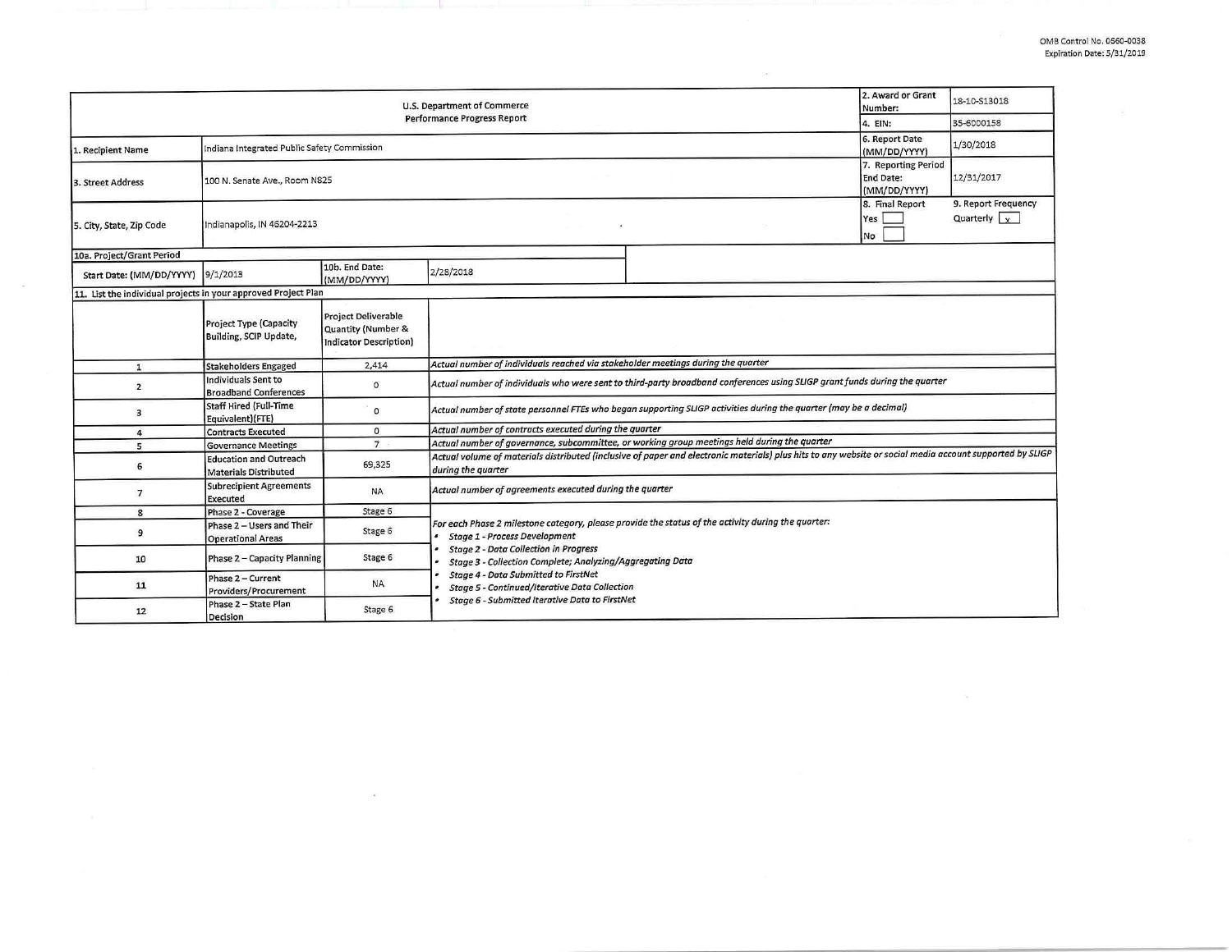| U.S. Department of Commerce                                    |                                                                                   |                                                                            |                                                                                                                                                                                                                                                  |  | 2. Award or Grant<br>Number: | 18-10-S13018                                     |  |  |
|----------------------------------------------------------------|-----------------------------------------------------------------------------------|----------------------------------------------------------------------------|--------------------------------------------------------------------------------------------------------------------------------------------------------------------------------------------------------------------------------------------------|--|------------------------------|--------------------------------------------------|--|--|
| <b>Performance Progress Report</b>                             |                                                                                   |                                                                            |                                                                                                                                                                                                                                                  |  |                              | 35-6000158                                       |  |  |
| 1. Recipient Name                                              | 6. Report Date<br>Indiana Integrated Public Safety Commission<br>(MM/DD/YYYY)     |                                                                            |                                                                                                                                                                                                                                                  |  |                              | 1/30/2018                                        |  |  |
| 3. Street Address                                              | 7. Reporting Period<br>End Date:<br>100 N. Senate Ave., Room N825<br>(MM/DD/YYYY) |                                                                            |                                                                                                                                                                                                                                                  |  |                              | 12/31/2017                                       |  |  |
| 5. City, State, Zip Code                                       | Indianapolis, IN 46204-2213                                                       |                                                                            |                                                                                                                                                                                                                                                  |  | 8. Final Report<br>Yes<br>No | 9. Report Frequency<br>Quarterly $\vert x \vert$ |  |  |
| 10a. Project/Grant Period                                      |                                                                                   |                                                                            |                                                                                                                                                                                                                                                  |  |                              |                                                  |  |  |
| Start Date: (MM/DD/YYYY) 9/1/2013                              |                                                                                   | 10b. End Date:<br>(MM/DD/YYYY)                                             | 2/28/2018                                                                                                                                                                                                                                        |  |                              |                                                  |  |  |
| 11. List the individual projects in your approved Project Plan |                                                                                   |                                                                            |                                                                                                                                                                                                                                                  |  |                              |                                                  |  |  |
|                                                                | <b>Project Type (Capacity</b><br>Building, SCIP Update,                           | <b>Project Deliverable</b><br>Quantity (Number &<br>Indicator Description) |                                                                                                                                                                                                                                                  |  |                              |                                                  |  |  |
| $\mathbf{1}$                                                   | <b>Stakeholders Engaged</b>                                                       | 2,414                                                                      | Actual number of individuals reached via stakeholder meetings during the quarter                                                                                                                                                                 |  |                              |                                                  |  |  |
| $\overline{2}$                                                 | Individuals Sent to<br><b>Broadband Conferences</b>                               | $\circ$                                                                    | Actual number of individuals who were sent to third-party broadband conferences using SLIGP grant funds during the quarter                                                                                                                       |  |                              |                                                  |  |  |
| 3                                                              | Staff Hired (Full-Time<br>Equivalent)(FTE)                                        | $\circ$                                                                    | Actual number of state personnel FTEs who began supporting SLIGP activities during the quarter (may be a decimal)                                                                                                                                |  |                              |                                                  |  |  |
| $\overline{4}$                                                 | <b>Contracts Executed</b>                                                         | $\circ$                                                                    | Actual number of contracts executed during the quarter                                                                                                                                                                                           |  |                              |                                                  |  |  |
| 5                                                              | <b>Governance Meetings</b>                                                        | $\overline{7}$                                                             | Actual number of governance, subcommittee, or working group meetings held during the quarter                                                                                                                                                     |  |                              |                                                  |  |  |
| 6                                                              | <b>Education and Outreach</b><br>Materials Distributed                            | 69,325                                                                     | Actual volume of materials distributed (inclusive of paper and electronic materials) plus hits to any website or social media account supported by SLIGP<br>during the quarter                                                                   |  |                              |                                                  |  |  |
| $\overline{7}$                                                 | <b>Subrecipient Agreements</b><br>Executed                                        | <b>NA</b>                                                                  | Actual number of agreements executed during the quarter                                                                                                                                                                                          |  |                              |                                                  |  |  |
| 8                                                              | Phase 2 - Coverage                                                                | Stage 6                                                                    |                                                                                                                                                                                                                                                  |  |                              |                                                  |  |  |
| $\overline{9}$                                                 | Phase 2 - Users and Their<br><b>Operational Areas</b>                             | Stage 6                                                                    | For each Phase 2 milestone category, please provide the status of the activity during the quarter:<br>Stage 1 - Process Development<br><b>Stage 2 - Data Collection in Progress</b><br>Stage 3 - Collection Complete; Analyzing/Aggregating Data |  |                              |                                                  |  |  |
| 10                                                             | Phase 2 - Capacity Planning                                                       | Stage 6                                                                    |                                                                                                                                                                                                                                                  |  |                              |                                                  |  |  |
| 11                                                             | Phase 2 - Current<br>Providers/Procurement                                        | <b>NA</b>                                                                  | <b>Stage 4 - Data Submitted to FirstNet</b><br>Stage 5 - Continued/Iterative Data Collection                                                                                                                                                     |  |                              |                                                  |  |  |
| 12                                                             | Phase 2 - State Plan<br>Decision                                                  | Stage 6                                                                    | Stage 6 - Submitted Iterative Data to FirstNet                                                                                                                                                                                                   |  |                              |                                                  |  |  |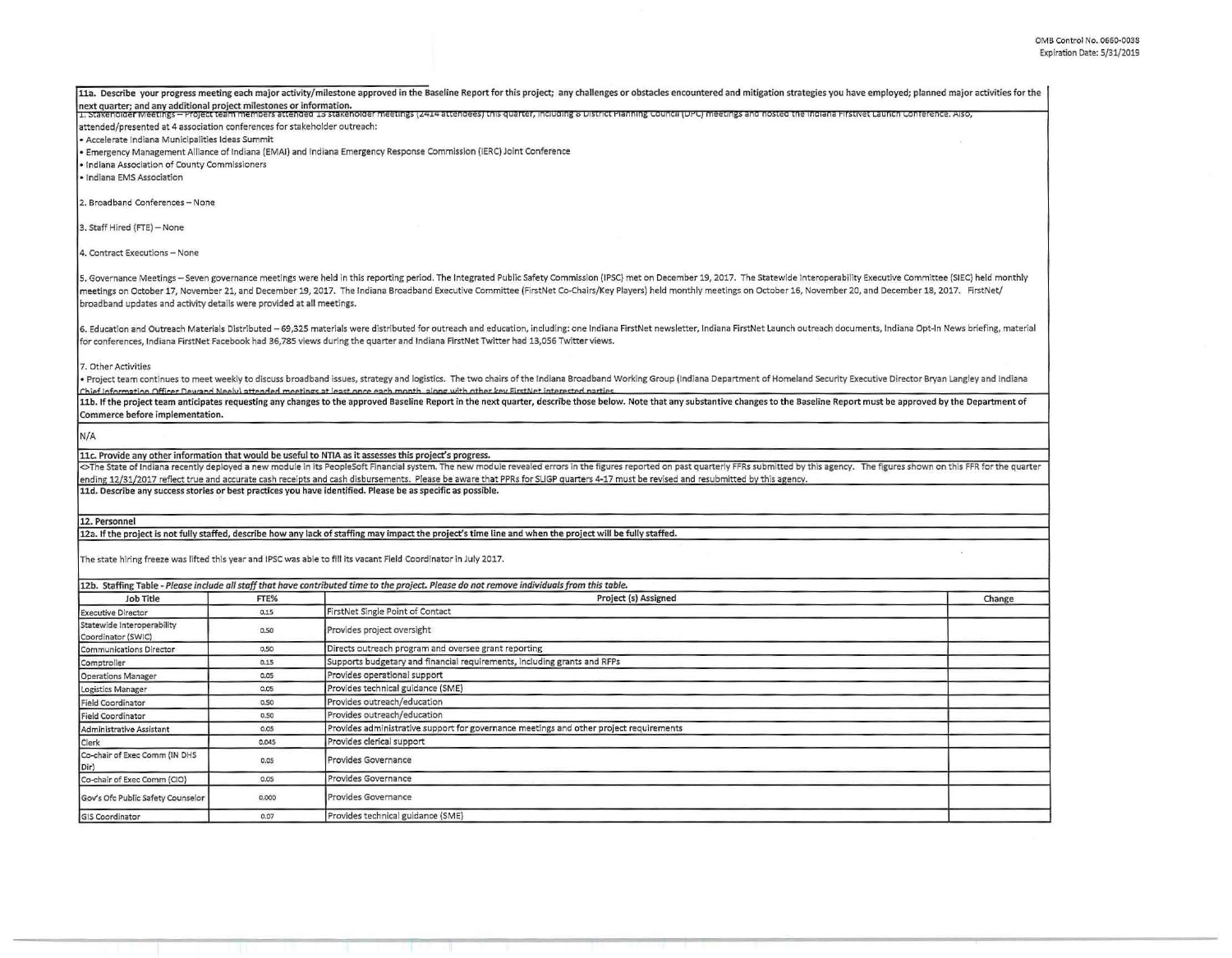| next quarter; and any additional project milestones or information.<br>1. Stakenolder wieetings – Project team members attended 15 stakenolder meetings (2414 attendees) this quarter, including 8 District Planning Council (DPC) meetings and nosted the indiana FirstNet Launch Conference. Also,<br>attended/presented at 4 association conferences for stakeholder outreach:<br>· Accelerate Indiana Municipalities Ideas Summit<br>· Emergency Management Alliance of Indiana (EMAI) and Indiana Emergency Response Commission (IERC) Joint Conference<br>· Indiana Association of County Commissioners<br>2. Broadband Conferences - None<br>5. Governance Meetings - Seven governance meetings were held in this reporting period. The Integrated Public Safety Commission (IPSC) met on December 19, 2017. The Statewide Interoperability Executive Committee (SIEC) held<br>meetings on October 17, November 21, and December 19, 2017. The Indiana Broadband Executive Committee (FirstNet Co-Chairs/Key Players) held monthly meetings on October 16, November 20, and December 18, 2017. FirstNet/<br>broadband updates and activity details were provided at all meetings.<br>6. Education and Outreach Materials Distributed - 69,325 materials were distributed for outreach and education, including: one Indiana FirstNet newsletter, Indiana FirstNet Launch outreach documents, Indiana Opt-In News br<br>for conferences, Indiana FirstNet Facebook had 36,785 views during the quarter and Indiana FirstNet Twitter had 13,056 Twitter views.<br>7. Other Activities<br>. Project team continues to meet weekly to discuss broadband issues, strategy and logistics. The two chairs of the Indiana Broadband Working Group (Indiana Department of Homeland Security Executive Director Bryan Langley a<br>Chief Information Officer Dewand Neely) attended meetings at least once each month, along with other key FirstNet interested nartie<br>11b. If the project team anticipates requesting any changes to the approved Baseline Report in the next quarter, describe those below. Note that any substantive changes to the Baseline Report must be approved by the Depart<br>Commerce before implementation.<br>11c. Provide any other information that would be useful to NTIA as it assesses this project's progress.<br><>The State of Indiana recently deployed a new module in its PeopleSoft Financial system. The new module revealed errors in the figures reported on past quarterly FFRs submitted by this agency. The figures shown on this FF<br>ending 12/31/2017 reflect true and accurate cash receipts and cash disbursements. Please be aware that PPRs for SLIGP quarters 4-17 must be revised and resubmitted by this agency.<br>11d. Describe any success stories or best practices you have identified. Please be as specific as possible.<br>12a. If the project is not fully staffed, describe how any lack of staffing may impact the project's time line and when the project will be fully staffed.<br>The state hiring freeze was lifted this year and IPSC was able to fill its vacant Field Coordinator in July 2017.<br>12b. Staffing Table - Please include all staff that have contributed time to the project. Please do not remove individuals from this table.<br><b>Job Title</b><br>FTE%<br>Project (s) Assigned<br>Change<br>FirstNet Single Point of Contact<br>0.15<br>Provides project oversight<br>0.50<br>Directs outreach program and oversee grant reporting<br>0.50<br>Supports budgetary and financial requirements, including grants and RFPs<br>0,15<br>Provides operational support<br>0.05<br>Provides technical guidance (SME)<br>0.05<br>Provides outreach/education<br>0.50<br>Provides outreach/education<br>0.50<br>Provides administrative support for governance meetings and other project requirements<br>0.05<br>Provides clerical support<br>0.045<br>Provides Governance<br>0.05<br>Provides Governance<br>0.05<br>Provides Governance<br>0.000 |                                                  |      | 11a. Describe your progress meeting each major activity/milestone approved in the Baseline Report for this project; any challenges or obstacles encountered and mitigation strategies you have employed; planned major activit |  |  |
|--------------------------------------------------------------------------------------------------------------------------------------------------------------------------------------------------------------------------------------------------------------------------------------------------------------------------------------------------------------------------------------------------------------------------------------------------------------------------------------------------------------------------------------------------------------------------------------------------------------------------------------------------------------------------------------------------------------------------------------------------------------------------------------------------------------------------------------------------------------------------------------------------------------------------------------------------------------------------------------------------------------------------------------------------------------------------------------------------------------------------------------------------------------------------------------------------------------------------------------------------------------------------------------------------------------------------------------------------------------------------------------------------------------------------------------------------------------------------------------------------------------------------------------------------------------------------------------------------------------------------------------------------------------------------------------------------------------------------------------------------------------------------------------------------------------------------------------------------------------------------------------------------------------------------------------------------------------------------------------------------------------------------------------------------------------------------------------------------------------------------------------------------------------------------------------------------------------------------------------------------------------------------------------------------------------------------------------------------------------------------------------------------------------------------------------------------------------------------------------------------------------------------------------------------------------------------------------------------------------------------------------------------------------------------------------------------------------------------------------------------------------------------------------------------------------------------------------------------------------------------------------------------------------------------------------------------------------------------------------------------------------------------------------------------------------------------------------------------------------------------------------------------------------------------------------------------------------------------------------------------------------------------------------------------------------------------------------------------------------------------------------------------------------------------------------------------------------------------------------------------------------------------------------------------------------------------------------------------------------------------------------------------------------------------------------------------------------------------------------------------------------------------------------------------------------------------------------------------------------------------------------------------------------------------------------------------------------------------------------------------------------------------------------------|--------------------------------------------------|------|--------------------------------------------------------------------------------------------------------------------------------------------------------------------------------------------------------------------------------|--|--|
|                                                                                                                                                                                                                                                                                                                                                                                                                                                                                                                                                                                                                                                                                                                                                                                                                                                                                                                                                                                                                                                                                                                                                                                                                                                                                                                                                                                                                                                                                                                                                                                                                                                                                                                                                                                                                                                                                                                                                                                                                                                                                                                                                                                                                                                                                                                                                                                                                                                                                                                                                                                                                                                                                                                                                                                                                                                                                                                                                                                                                                                                                                                                                                                                                                                                                                                                                                                                                                                                                                                                                                                                                                                                                                                                                                                                                                                                                                                                                                                                                                            |                                                  |      |                                                                                                                                                                                                                                |  |  |
|                                                                                                                                                                                                                                                                                                                                                                                                                                                                                                                                                                                                                                                                                                                                                                                                                                                                                                                                                                                                                                                                                                                                                                                                                                                                                                                                                                                                                                                                                                                                                                                                                                                                                                                                                                                                                                                                                                                                                                                                                                                                                                                                                                                                                                                                                                                                                                                                                                                                                                                                                                                                                                                                                                                                                                                                                                                                                                                                                                                                                                                                                                                                                                                                                                                                                                                                                                                                                                                                                                                                                                                                                                                                                                                                                                                                                                                                                                                                                                                                                                            |                                                  |      |                                                                                                                                                                                                                                |  |  |
|                                                                                                                                                                                                                                                                                                                                                                                                                                                                                                                                                                                                                                                                                                                                                                                                                                                                                                                                                                                                                                                                                                                                                                                                                                                                                                                                                                                                                                                                                                                                                                                                                                                                                                                                                                                                                                                                                                                                                                                                                                                                                                                                                                                                                                                                                                                                                                                                                                                                                                                                                                                                                                                                                                                                                                                                                                                                                                                                                                                                                                                                                                                                                                                                                                                                                                                                                                                                                                                                                                                                                                                                                                                                                                                                                                                                                                                                                                                                                                                                                                            |                                                  |      |                                                                                                                                                                                                                                |  |  |
|                                                                                                                                                                                                                                                                                                                                                                                                                                                                                                                                                                                                                                                                                                                                                                                                                                                                                                                                                                                                                                                                                                                                                                                                                                                                                                                                                                                                                                                                                                                                                                                                                                                                                                                                                                                                                                                                                                                                                                                                                                                                                                                                                                                                                                                                                                                                                                                                                                                                                                                                                                                                                                                                                                                                                                                                                                                                                                                                                                                                                                                                                                                                                                                                                                                                                                                                                                                                                                                                                                                                                                                                                                                                                                                                                                                                                                                                                                                                                                                                                                            |                                                  |      |                                                                                                                                                                                                                                |  |  |
|                                                                                                                                                                                                                                                                                                                                                                                                                                                                                                                                                                                                                                                                                                                                                                                                                                                                                                                                                                                                                                                                                                                                                                                                                                                                                                                                                                                                                                                                                                                                                                                                                                                                                                                                                                                                                                                                                                                                                                                                                                                                                                                                                                                                                                                                                                                                                                                                                                                                                                                                                                                                                                                                                                                                                                                                                                                                                                                                                                                                                                                                                                                                                                                                                                                                                                                                                                                                                                                                                                                                                                                                                                                                                                                                                                                                                                                                                                                                                                                                                                            |                                                  |      |                                                                                                                                                                                                                                |  |  |
|                                                                                                                                                                                                                                                                                                                                                                                                                                                                                                                                                                                                                                                                                                                                                                                                                                                                                                                                                                                                                                                                                                                                                                                                                                                                                                                                                                                                                                                                                                                                                                                                                                                                                                                                                                                                                                                                                                                                                                                                                                                                                                                                                                                                                                                                                                                                                                                                                                                                                                                                                                                                                                                                                                                                                                                                                                                                                                                                                                                                                                                                                                                                                                                                                                                                                                                                                                                                                                                                                                                                                                                                                                                                                                                                                                                                                                                                                                                                                                                                                                            | · Indiana EMS Association                        |      |                                                                                                                                                                                                                                |  |  |
|                                                                                                                                                                                                                                                                                                                                                                                                                                                                                                                                                                                                                                                                                                                                                                                                                                                                                                                                                                                                                                                                                                                                                                                                                                                                                                                                                                                                                                                                                                                                                                                                                                                                                                                                                                                                                                                                                                                                                                                                                                                                                                                                                                                                                                                                                                                                                                                                                                                                                                                                                                                                                                                                                                                                                                                                                                                                                                                                                                                                                                                                                                                                                                                                                                                                                                                                                                                                                                                                                                                                                                                                                                                                                                                                                                                                                                                                                                                                                                                                                                            |                                                  |      |                                                                                                                                                                                                                                |  |  |
|                                                                                                                                                                                                                                                                                                                                                                                                                                                                                                                                                                                                                                                                                                                                                                                                                                                                                                                                                                                                                                                                                                                                                                                                                                                                                                                                                                                                                                                                                                                                                                                                                                                                                                                                                                                                                                                                                                                                                                                                                                                                                                                                                                                                                                                                                                                                                                                                                                                                                                                                                                                                                                                                                                                                                                                                                                                                                                                                                                                                                                                                                                                                                                                                                                                                                                                                                                                                                                                                                                                                                                                                                                                                                                                                                                                                                                                                                                                                                                                                                                            |                                                  |      |                                                                                                                                                                                                                                |  |  |
|                                                                                                                                                                                                                                                                                                                                                                                                                                                                                                                                                                                                                                                                                                                                                                                                                                                                                                                                                                                                                                                                                                                                                                                                                                                                                                                                                                                                                                                                                                                                                                                                                                                                                                                                                                                                                                                                                                                                                                                                                                                                                                                                                                                                                                                                                                                                                                                                                                                                                                                                                                                                                                                                                                                                                                                                                                                                                                                                                                                                                                                                                                                                                                                                                                                                                                                                                                                                                                                                                                                                                                                                                                                                                                                                                                                                                                                                                                                                                                                                                                            | 3. Staff Hired (FTE) - None                      |      |                                                                                                                                                                                                                                |  |  |
|                                                                                                                                                                                                                                                                                                                                                                                                                                                                                                                                                                                                                                                                                                                                                                                                                                                                                                                                                                                                                                                                                                                                                                                                                                                                                                                                                                                                                                                                                                                                                                                                                                                                                                                                                                                                                                                                                                                                                                                                                                                                                                                                                                                                                                                                                                                                                                                                                                                                                                                                                                                                                                                                                                                                                                                                                                                                                                                                                                                                                                                                                                                                                                                                                                                                                                                                                                                                                                                                                                                                                                                                                                                                                                                                                                                                                                                                                                                                                                                                                                            | 4. Contract Executions - None                    |      |                                                                                                                                                                                                                                |  |  |
|                                                                                                                                                                                                                                                                                                                                                                                                                                                                                                                                                                                                                                                                                                                                                                                                                                                                                                                                                                                                                                                                                                                                                                                                                                                                                                                                                                                                                                                                                                                                                                                                                                                                                                                                                                                                                                                                                                                                                                                                                                                                                                                                                                                                                                                                                                                                                                                                                                                                                                                                                                                                                                                                                                                                                                                                                                                                                                                                                                                                                                                                                                                                                                                                                                                                                                                                                                                                                                                                                                                                                                                                                                                                                                                                                                                                                                                                                                                                                                                                                                            |                                                  |      |                                                                                                                                                                                                                                |  |  |
|                                                                                                                                                                                                                                                                                                                                                                                                                                                                                                                                                                                                                                                                                                                                                                                                                                                                                                                                                                                                                                                                                                                                                                                                                                                                                                                                                                                                                                                                                                                                                                                                                                                                                                                                                                                                                                                                                                                                                                                                                                                                                                                                                                                                                                                                                                                                                                                                                                                                                                                                                                                                                                                                                                                                                                                                                                                                                                                                                                                                                                                                                                                                                                                                                                                                                                                                                                                                                                                                                                                                                                                                                                                                                                                                                                                                                                                                                                                                                                                                                                            |                                                  |      |                                                                                                                                                                                                                                |  |  |
|                                                                                                                                                                                                                                                                                                                                                                                                                                                                                                                                                                                                                                                                                                                                                                                                                                                                                                                                                                                                                                                                                                                                                                                                                                                                                                                                                                                                                                                                                                                                                                                                                                                                                                                                                                                                                                                                                                                                                                                                                                                                                                                                                                                                                                                                                                                                                                                                                                                                                                                                                                                                                                                                                                                                                                                                                                                                                                                                                                                                                                                                                                                                                                                                                                                                                                                                                                                                                                                                                                                                                                                                                                                                                                                                                                                                                                                                                                                                                                                                                                            |                                                  |      |                                                                                                                                                                                                                                |  |  |
|                                                                                                                                                                                                                                                                                                                                                                                                                                                                                                                                                                                                                                                                                                                                                                                                                                                                                                                                                                                                                                                                                                                                                                                                                                                                                                                                                                                                                                                                                                                                                                                                                                                                                                                                                                                                                                                                                                                                                                                                                                                                                                                                                                                                                                                                                                                                                                                                                                                                                                                                                                                                                                                                                                                                                                                                                                                                                                                                                                                                                                                                                                                                                                                                                                                                                                                                                                                                                                                                                                                                                                                                                                                                                                                                                                                                                                                                                                                                                                                                                                            |                                                  |      |                                                                                                                                                                                                                                |  |  |
|                                                                                                                                                                                                                                                                                                                                                                                                                                                                                                                                                                                                                                                                                                                                                                                                                                                                                                                                                                                                                                                                                                                                                                                                                                                                                                                                                                                                                                                                                                                                                                                                                                                                                                                                                                                                                                                                                                                                                                                                                                                                                                                                                                                                                                                                                                                                                                                                                                                                                                                                                                                                                                                                                                                                                                                                                                                                                                                                                                                                                                                                                                                                                                                                                                                                                                                                                                                                                                                                                                                                                                                                                                                                                                                                                                                                                                                                                                                                                                                                                                            |                                                  |      |                                                                                                                                                                                                                                |  |  |
|                                                                                                                                                                                                                                                                                                                                                                                                                                                                                                                                                                                                                                                                                                                                                                                                                                                                                                                                                                                                                                                                                                                                                                                                                                                                                                                                                                                                                                                                                                                                                                                                                                                                                                                                                                                                                                                                                                                                                                                                                                                                                                                                                                                                                                                                                                                                                                                                                                                                                                                                                                                                                                                                                                                                                                                                                                                                                                                                                                                                                                                                                                                                                                                                                                                                                                                                                                                                                                                                                                                                                                                                                                                                                                                                                                                                                                                                                                                                                                                                                                            |                                                  |      |                                                                                                                                                                                                                                |  |  |
|                                                                                                                                                                                                                                                                                                                                                                                                                                                                                                                                                                                                                                                                                                                                                                                                                                                                                                                                                                                                                                                                                                                                                                                                                                                                                                                                                                                                                                                                                                                                                                                                                                                                                                                                                                                                                                                                                                                                                                                                                                                                                                                                                                                                                                                                                                                                                                                                                                                                                                                                                                                                                                                                                                                                                                                                                                                                                                                                                                                                                                                                                                                                                                                                                                                                                                                                                                                                                                                                                                                                                                                                                                                                                                                                                                                                                                                                                                                                                                                                                                            |                                                  |      |                                                                                                                                                                                                                                |  |  |
|                                                                                                                                                                                                                                                                                                                                                                                                                                                                                                                                                                                                                                                                                                                                                                                                                                                                                                                                                                                                                                                                                                                                                                                                                                                                                                                                                                                                                                                                                                                                                                                                                                                                                                                                                                                                                                                                                                                                                                                                                                                                                                                                                                                                                                                                                                                                                                                                                                                                                                                                                                                                                                                                                                                                                                                                                                                                                                                                                                                                                                                                                                                                                                                                                                                                                                                                                                                                                                                                                                                                                                                                                                                                                                                                                                                                                                                                                                                                                                                                                                            | N/A                                              |      |                                                                                                                                                                                                                                |  |  |
|                                                                                                                                                                                                                                                                                                                                                                                                                                                                                                                                                                                                                                                                                                                                                                                                                                                                                                                                                                                                                                                                                                                                                                                                                                                                                                                                                                                                                                                                                                                                                                                                                                                                                                                                                                                                                                                                                                                                                                                                                                                                                                                                                                                                                                                                                                                                                                                                                                                                                                                                                                                                                                                                                                                                                                                                                                                                                                                                                                                                                                                                                                                                                                                                                                                                                                                                                                                                                                                                                                                                                                                                                                                                                                                                                                                                                                                                                                                                                                                                                                            |                                                  |      |                                                                                                                                                                                                                                |  |  |
|                                                                                                                                                                                                                                                                                                                                                                                                                                                                                                                                                                                                                                                                                                                                                                                                                                                                                                                                                                                                                                                                                                                                                                                                                                                                                                                                                                                                                                                                                                                                                                                                                                                                                                                                                                                                                                                                                                                                                                                                                                                                                                                                                                                                                                                                                                                                                                                                                                                                                                                                                                                                                                                                                                                                                                                                                                                                                                                                                                                                                                                                                                                                                                                                                                                                                                                                                                                                                                                                                                                                                                                                                                                                                                                                                                                                                                                                                                                                                                                                                                            |                                                  |      |                                                                                                                                                                                                                                |  |  |
|                                                                                                                                                                                                                                                                                                                                                                                                                                                                                                                                                                                                                                                                                                                                                                                                                                                                                                                                                                                                                                                                                                                                                                                                                                                                                                                                                                                                                                                                                                                                                                                                                                                                                                                                                                                                                                                                                                                                                                                                                                                                                                                                                                                                                                                                                                                                                                                                                                                                                                                                                                                                                                                                                                                                                                                                                                                                                                                                                                                                                                                                                                                                                                                                                                                                                                                                                                                                                                                                                                                                                                                                                                                                                                                                                                                                                                                                                                                                                                                                                                            |                                                  |      |                                                                                                                                                                                                                                |  |  |
|                                                                                                                                                                                                                                                                                                                                                                                                                                                                                                                                                                                                                                                                                                                                                                                                                                                                                                                                                                                                                                                                                                                                                                                                                                                                                                                                                                                                                                                                                                                                                                                                                                                                                                                                                                                                                                                                                                                                                                                                                                                                                                                                                                                                                                                                                                                                                                                                                                                                                                                                                                                                                                                                                                                                                                                                                                                                                                                                                                                                                                                                                                                                                                                                                                                                                                                                                                                                                                                                                                                                                                                                                                                                                                                                                                                                                                                                                                                                                                                                                                            |                                                  |      |                                                                                                                                                                                                                                |  |  |
|                                                                                                                                                                                                                                                                                                                                                                                                                                                                                                                                                                                                                                                                                                                                                                                                                                                                                                                                                                                                                                                                                                                                                                                                                                                                                                                                                                                                                                                                                                                                                                                                                                                                                                                                                                                                                                                                                                                                                                                                                                                                                                                                                                                                                                                                                                                                                                                                                                                                                                                                                                                                                                                                                                                                                                                                                                                                                                                                                                                                                                                                                                                                                                                                                                                                                                                                                                                                                                                                                                                                                                                                                                                                                                                                                                                                                                                                                                                                                                                                                                            |                                                  |      |                                                                                                                                                                                                                                |  |  |
|                                                                                                                                                                                                                                                                                                                                                                                                                                                                                                                                                                                                                                                                                                                                                                                                                                                                                                                                                                                                                                                                                                                                                                                                                                                                                                                                                                                                                                                                                                                                                                                                                                                                                                                                                                                                                                                                                                                                                                                                                                                                                                                                                                                                                                                                                                                                                                                                                                                                                                                                                                                                                                                                                                                                                                                                                                                                                                                                                                                                                                                                                                                                                                                                                                                                                                                                                                                                                                                                                                                                                                                                                                                                                                                                                                                                                                                                                                                                                                                                                                            | 12. Personnel                                    |      |                                                                                                                                                                                                                                |  |  |
|                                                                                                                                                                                                                                                                                                                                                                                                                                                                                                                                                                                                                                                                                                                                                                                                                                                                                                                                                                                                                                                                                                                                                                                                                                                                                                                                                                                                                                                                                                                                                                                                                                                                                                                                                                                                                                                                                                                                                                                                                                                                                                                                                                                                                                                                                                                                                                                                                                                                                                                                                                                                                                                                                                                                                                                                                                                                                                                                                                                                                                                                                                                                                                                                                                                                                                                                                                                                                                                                                                                                                                                                                                                                                                                                                                                                                                                                                                                                                                                                                                            |                                                  |      |                                                                                                                                                                                                                                |  |  |
|                                                                                                                                                                                                                                                                                                                                                                                                                                                                                                                                                                                                                                                                                                                                                                                                                                                                                                                                                                                                                                                                                                                                                                                                                                                                                                                                                                                                                                                                                                                                                                                                                                                                                                                                                                                                                                                                                                                                                                                                                                                                                                                                                                                                                                                                                                                                                                                                                                                                                                                                                                                                                                                                                                                                                                                                                                                                                                                                                                                                                                                                                                                                                                                                                                                                                                                                                                                                                                                                                                                                                                                                                                                                                                                                                                                                                                                                                                                                                                                                                                            |                                                  |      |                                                                                                                                                                                                                                |  |  |
|                                                                                                                                                                                                                                                                                                                                                                                                                                                                                                                                                                                                                                                                                                                                                                                                                                                                                                                                                                                                                                                                                                                                                                                                                                                                                                                                                                                                                                                                                                                                                                                                                                                                                                                                                                                                                                                                                                                                                                                                                                                                                                                                                                                                                                                                                                                                                                                                                                                                                                                                                                                                                                                                                                                                                                                                                                                                                                                                                                                                                                                                                                                                                                                                                                                                                                                                                                                                                                                                                                                                                                                                                                                                                                                                                                                                                                                                                                                                                                                                                                            |                                                  |      |                                                                                                                                                                                                                                |  |  |
|                                                                                                                                                                                                                                                                                                                                                                                                                                                                                                                                                                                                                                                                                                                                                                                                                                                                                                                                                                                                                                                                                                                                                                                                                                                                                                                                                                                                                                                                                                                                                                                                                                                                                                                                                                                                                                                                                                                                                                                                                                                                                                                                                                                                                                                                                                                                                                                                                                                                                                                                                                                                                                                                                                                                                                                                                                                                                                                                                                                                                                                                                                                                                                                                                                                                                                                                                                                                                                                                                                                                                                                                                                                                                                                                                                                                                                                                                                                                                                                                                                            |                                                  |      |                                                                                                                                                                                                                                |  |  |
|                                                                                                                                                                                                                                                                                                                                                                                                                                                                                                                                                                                                                                                                                                                                                                                                                                                                                                                                                                                                                                                                                                                                                                                                                                                                                                                                                                                                                                                                                                                                                                                                                                                                                                                                                                                                                                                                                                                                                                                                                                                                                                                                                                                                                                                                                                                                                                                                                                                                                                                                                                                                                                                                                                                                                                                                                                                                                                                                                                                                                                                                                                                                                                                                                                                                                                                                                                                                                                                                                                                                                                                                                                                                                                                                                                                                                                                                                                                                                                                                                                            | <b>Executive Director</b>                        |      |                                                                                                                                                                                                                                |  |  |
|                                                                                                                                                                                                                                                                                                                                                                                                                                                                                                                                                                                                                                                                                                                                                                                                                                                                                                                                                                                                                                                                                                                                                                                                                                                                                                                                                                                                                                                                                                                                                                                                                                                                                                                                                                                                                                                                                                                                                                                                                                                                                                                                                                                                                                                                                                                                                                                                                                                                                                                                                                                                                                                                                                                                                                                                                                                                                                                                                                                                                                                                                                                                                                                                                                                                                                                                                                                                                                                                                                                                                                                                                                                                                                                                                                                                                                                                                                                                                                                                                                            | Statewide Interoperability<br>Coordinator (SWIC) |      |                                                                                                                                                                                                                                |  |  |
|                                                                                                                                                                                                                                                                                                                                                                                                                                                                                                                                                                                                                                                                                                                                                                                                                                                                                                                                                                                                                                                                                                                                                                                                                                                                                                                                                                                                                                                                                                                                                                                                                                                                                                                                                                                                                                                                                                                                                                                                                                                                                                                                                                                                                                                                                                                                                                                                                                                                                                                                                                                                                                                                                                                                                                                                                                                                                                                                                                                                                                                                                                                                                                                                                                                                                                                                                                                                                                                                                                                                                                                                                                                                                                                                                                                                                                                                                                                                                                                                                                            | Communications Director                          |      |                                                                                                                                                                                                                                |  |  |
|                                                                                                                                                                                                                                                                                                                                                                                                                                                                                                                                                                                                                                                                                                                                                                                                                                                                                                                                                                                                                                                                                                                                                                                                                                                                                                                                                                                                                                                                                                                                                                                                                                                                                                                                                                                                                                                                                                                                                                                                                                                                                                                                                                                                                                                                                                                                                                                                                                                                                                                                                                                                                                                                                                                                                                                                                                                                                                                                                                                                                                                                                                                                                                                                                                                                                                                                                                                                                                                                                                                                                                                                                                                                                                                                                                                                                                                                                                                                                                                                                                            | Comptroller                                      |      |                                                                                                                                                                                                                                |  |  |
|                                                                                                                                                                                                                                                                                                                                                                                                                                                                                                                                                                                                                                                                                                                                                                                                                                                                                                                                                                                                                                                                                                                                                                                                                                                                                                                                                                                                                                                                                                                                                                                                                                                                                                                                                                                                                                                                                                                                                                                                                                                                                                                                                                                                                                                                                                                                                                                                                                                                                                                                                                                                                                                                                                                                                                                                                                                                                                                                                                                                                                                                                                                                                                                                                                                                                                                                                                                                                                                                                                                                                                                                                                                                                                                                                                                                                                                                                                                                                                                                                                            | <b>Operations Manager</b>                        |      |                                                                                                                                                                                                                                |  |  |
|                                                                                                                                                                                                                                                                                                                                                                                                                                                                                                                                                                                                                                                                                                                                                                                                                                                                                                                                                                                                                                                                                                                                                                                                                                                                                                                                                                                                                                                                                                                                                                                                                                                                                                                                                                                                                                                                                                                                                                                                                                                                                                                                                                                                                                                                                                                                                                                                                                                                                                                                                                                                                                                                                                                                                                                                                                                                                                                                                                                                                                                                                                                                                                                                                                                                                                                                                                                                                                                                                                                                                                                                                                                                                                                                                                                                                                                                                                                                                                                                                                            | Logistics Manager                                |      |                                                                                                                                                                                                                                |  |  |
|                                                                                                                                                                                                                                                                                                                                                                                                                                                                                                                                                                                                                                                                                                                                                                                                                                                                                                                                                                                                                                                                                                                                                                                                                                                                                                                                                                                                                                                                                                                                                                                                                                                                                                                                                                                                                                                                                                                                                                                                                                                                                                                                                                                                                                                                                                                                                                                                                                                                                                                                                                                                                                                                                                                                                                                                                                                                                                                                                                                                                                                                                                                                                                                                                                                                                                                                                                                                                                                                                                                                                                                                                                                                                                                                                                                                                                                                                                                                                                                                                                            | <b>Field Coordinator</b>                         |      |                                                                                                                                                                                                                                |  |  |
|                                                                                                                                                                                                                                                                                                                                                                                                                                                                                                                                                                                                                                                                                                                                                                                                                                                                                                                                                                                                                                                                                                                                                                                                                                                                                                                                                                                                                                                                                                                                                                                                                                                                                                                                                                                                                                                                                                                                                                                                                                                                                                                                                                                                                                                                                                                                                                                                                                                                                                                                                                                                                                                                                                                                                                                                                                                                                                                                                                                                                                                                                                                                                                                                                                                                                                                                                                                                                                                                                                                                                                                                                                                                                                                                                                                                                                                                                                                                                                                                                                            | <b>Field Coordinator</b>                         |      |                                                                                                                                                                                                                                |  |  |
|                                                                                                                                                                                                                                                                                                                                                                                                                                                                                                                                                                                                                                                                                                                                                                                                                                                                                                                                                                                                                                                                                                                                                                                                                                                                                                                                                                                                                                                                                                                                                                                                                                                                                                                                                                                                                                                                                                                                                                                                                                                                                                                                                                                                                                                                                                                                                                                                                                                                                                                                                                                                                                                                                                                                                                                                                                                                                                                                                                                                                                                                                                                                                                                                                                                                                                                                                                                                                                                                                                                                                                                                                                                                                                                                                                                                                                                                                                                                                                                                                                            | Administrative Assistant                         |      |                                                                                                                                                                                                                                |  |  |
|                                                                                                                                                                                                                                                                                                                                                                                                                                                                                                                                                                                                                                                                                                                                                                                                                                                                                                                                                                                                                                                                                                                                                                                                                                                                                                                                                                                                                                                                                                                                                                                                                                                                                                                                                                                                                                                                                                                                                                                                                                                                                                                                                                                                                                                                                                                                                                                                                                                                                                                                                                                                                                                                                                                                                                                                                                                                                                                                                                                                                                                                                                                                                                                                                                                                                                                                                                                                                                                                                                                                                                                                                                                                                                                                                                                                                                                                                                                                                                                                                                            | Clerk                                            |      |                                                                                                                                                                                                                                |  |  |
|                                                                                                                                                                                                                                                                                                                                                                                                                                                                                                                                                                                                                                                                                                                                                                                                                                                                                                                                                                                                                                                                                                                                                                                                                                                                                                                                                                                                                                                                                                                                                                                                                                                                                                                                                                                                                                                                                                                                                                                                                                                                                                                                                                                                                                                                                                                                                                                                                                                                                                                                                                                                                                                                                                                                                                                                                                                                                                                                                                                                                                                                                                                                                                                                                                                                                                                                                                                                                                                                                                                                                                                                                                                                                                                                                                                                                                                                                                                                                                                                                                            | Co-chair of Exec Comm (IN DHS<br>Dir)            |      |                                                                                                                                                                                                                                |  |  |
|                                                                                                                                                                                                                                                                                                                                                                                                                                                                                                                                                                                                                                                                                                                                                                                                                                                                                                                                                                                                                                                                                                                                                                                                                                                                                                                                                                                                                                                                                                                                                                                                                                                                                                                                                                                                                                                                                                                                                                                                                                                                                                                                                                                                                                                                                                                                                                                                                                                                                                                                                                                                                                                                                                                                                                                                                                                                                                                                                                                                                                                                                                                                                                                                                                                                                                                                                                                                                                                                                                                                                                                                                                                                                                                                                                                                                                                                                                                                                                                                                                            | Co-chair of Exec Comm (CIO)                      |      |                                                                                                                                                                                                                                |  |  |
|                                                                                                                                                                                                                                                                                                                                                                                                                                                                                                                                                                                                                                                                                                                                                                                                                                                                                                                                                                                                                                                                                                                                                                                                                                                                                                                                                                                                                                                                                                                                                                                                                                                                                                                                                                                                                                                                                                                                                                                                                                                                                                                                                                                                                                                                                                                                                                                                                                                                                                                                                                                                                                                                                                                                                                                                                                                                                                                                                                                                                                                                                                                                                                                                                                                                                                                                                                                                                                                                                                                                                                                                                                                                                                                                                                                                                                                                                                                                                                                                                                            | Gov's Ofc Public Safety Counselor                |      |                                                                                                                                                                                                                                |  |  |
|                                                                                                                                                                                                                                                                                                                                                                                                                                                                                                                                                                                                                                                                                                                                                                                                                                                                                                                                                                                                                                                                                                                                                                                                                                                                                                                                                                                                                                                                                                                                                                                                                                                                                                                                                                                                                                                                                                                                                                                                                                                                                                                                                                                                                                                                                                                                                                                                                                                                                                                                                                                                                                                                                                                                                                                                                                                                                                                                                                                                                                                                                                                                                                                                                                                                                                                                                                                                                                                                                                                                                                                                                                                                                                                                                                                                                                                                                                                                                                                                                                            | <b>GIS Coordinator</b>                           | 0.07 | Provides technical guidance (SME)                                                                                                                                                                                              |  |  |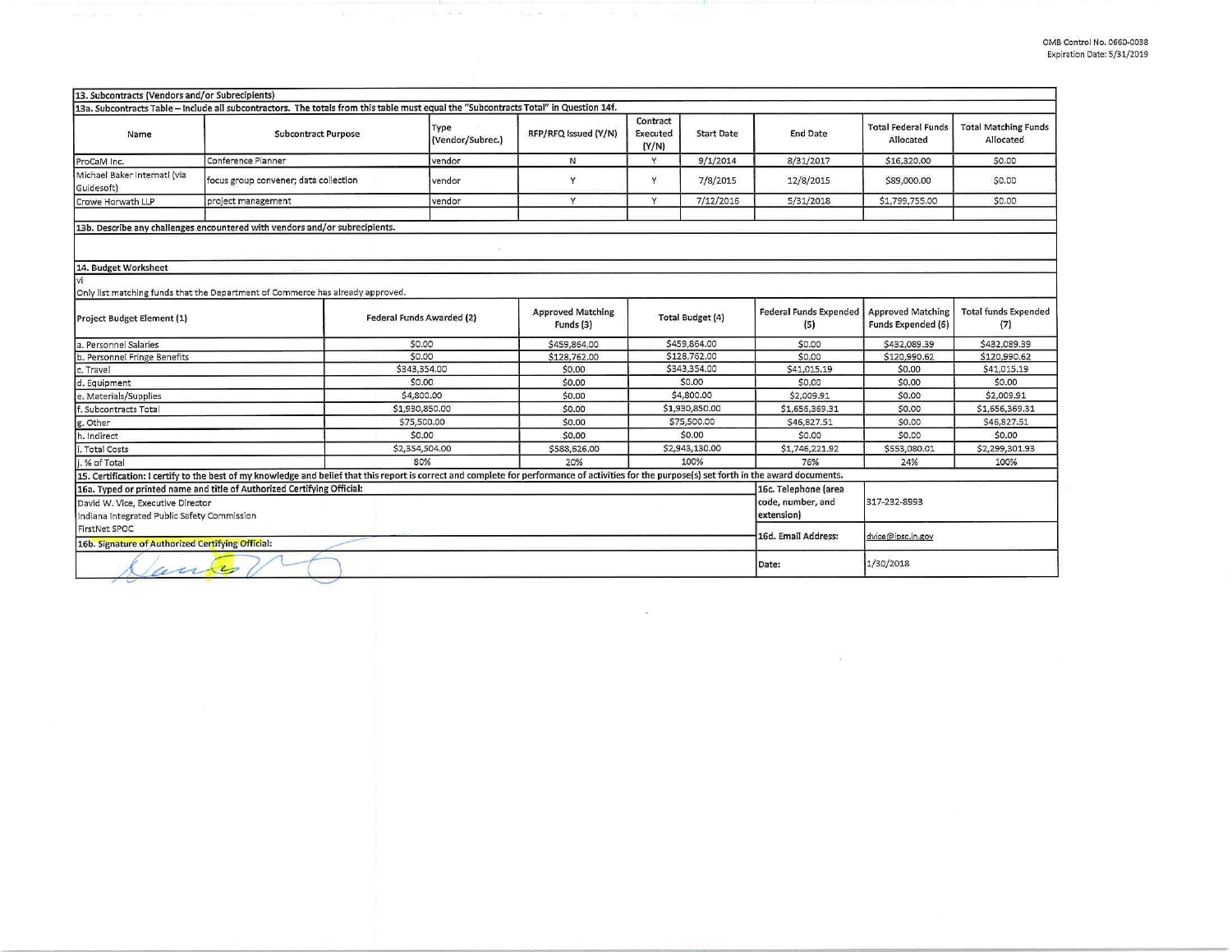| 13. Subcontracts (Vendors and/or Subrecipients)   |                                                                                                                                                                                                 |                           |                                       |                               |                   |                                      |                                                |                                          |
|---------------------------------------------------|-------------------------------------------------------------------------------------------------------------------------------------------------------------------------------------------------|---------------------------|---------------------------------------|-------------------------------|-------------------|--------------------------------------|------------------------------------------------|------------------------------------------|
|                                                   | 13a. Subcontracts Table - Include all subcontractors. The totals from this table must equal the "Subcontracts Total" in Question 14f.                                                           |                           |                                       |                               |                   |                                      |                                                |                                          |
| Name                                              | <b>Subcontract Purpose</b>                                                                                                                                                                      | Type<br>(Vendor/Subrec.)  | RFP/RFQ Issued (Y/N)                  | Contract<br>Executed<br>(Y/N) | <b>Start Date</b> | <b>End Date</b>                      | <b>Total Federal Funds</b><br>Allocated        | <b>Total Matching Funds</b><br>Allocated |
| ProCaM Inc.                                       | Conference Planner                                                                                                                                                                              | vendor                    | N                                     | v                             | 9/1/2014          | 8/31/2017                            | \$16,320.00                                    | \$0.00                                   |
| Michael Baker Internati (via<br>Guidesoft)        | focus group convener; data collection                                                                                                                                                           | vendor                    | Y                                     | Y                             | 7/8/2015          | 12/8/2015                            | \$89,000.00                                    | \$0.00                                   |
| Crowe Horwath LLP                                 | project management                                                                                                                                                                              | vendor                    | Y                                     | Y                             | 7/12/2016         | 5/31/2018                            | \$1,799,755.00                                 | \$0.00                                   |
|                                                   | 13b. Describe any challenges encountered with vendors and/or subrecipients.                                                                                                                     |                           |                                       |                               |                   |                                      |                                                |                                          |
|                                                   |                                                                                                                                                                                                 |                           |                                       |                               |                   |                                      |                                                |                                          |
|                                                   |                                                                                                                                                                                                 |                           |                                       |                               |                   |                                      |                                                |                                          |
| 14. Budget Worksheet                              |                                                                                                                                                                                                 |                           |                                       |                               |                   |                                      |                                                |                                          |
| lvi                                               |                                                                                                                                                                                                 |                           |                                       |                               |                   |                                      |                                                |                                          |
|                                                   | Only list matching funds that the Department of Commerce has already approved.                                                                                                                  |                           |                                       |                               |                   |                                      |                                                |                                          |
| Project Budget Element (1)                        |                                                                                                                                                                                                 | Federal Funds Awarded (2) | <b>Approved Matching</b><br>Funds (3) | Total Budget (4)              |                   | <b>Federal Funds Expended</b><br>(5) | <b>Approved Matching</b><br>Funds Expended (6) | <b>Total funds Expended</b><br>(7)       |
| a. Personnel Salaries                             |                                                                                                                                                                                                 | \$0.00                    | \$459,864.00                          | \$459,864.00                  |                   | \$0.00                               | \$432,089.39                                   | \$432,089.39                             |
| b. Personnel Fringe Benefits                      |                                                                                                                                                                                                 | \$0.00                    | \$128,762.00                          | \$128,762.00                  |                   | \$0.00                               | \$120,990.62                                   | \$120,990.62                             |
| c. Travel                                         |                                                                                                                                                                                                 | \$343,354.00              | \$0.00                                | \$343,354.00                  |                   | \$41,015.19                          | \$0.00                                         | \$41,015.19                              |
| d. Equipment                                      |                                                                                                                                                                                                 | \$0.00                    | \$0.00                                | \$0.00                        |                   | \$0.00                               | \$0.00                                         | \$0.00                                   |
| e. Materials/Supplies                             |                                                                                                                                                                                                 | \$4,800.00                | \$0.00                                | \$4,800.00                    |                   | \$2,009.91                           | \$0.00                                         | \$2,009.91                               |
| f. Subcontracts Total                             |                                                                                                                                                                                                 | \$1,930,850.00            | \$0.00                                | \$1,930,850.00                |                   | \$1,656,369.31                       | \$0.00                                         | \$1,656,369.31                           |
| g. Other                                          |                                                                                                                                                                                                 | \$75,500.00               | \$0.00                                | \$75,500.00                   |                   | \$46,827.51                          | \$0.00                                         | \$46,827.51                              |
| h. Indirect                                       |                                                                                                                                                                                                 | \$0.00                    | \$0.00                                | \$0.00                        |                   | \$0.00                               | \$0.00                                         | \$0.00                                   |
| . Total Costs                                     |                                                                                                                                                                                                 | \$2,354,504.00            | \$588,626.00                          | \$2,943,130.00                |                   | \$1,746,221.92                       | \$553,080.01                                   | \$2,299,301.93                           |
| i. % of Total                                     |                                                                                                                                                                                                 | 80%                       | 20%                                   | 100%                          |                   | 76%                                  | 24%                                            | 100%                                     |
|                                                   | 15. Certification: I certify to the best of my knowledge and belief that this report is correct and complete for performance of activities for the purpose(s) set forth in the award documents. |                           |                                       |                               |                   |                                      |                                                |                                          |
|                                                   | 16a. Typed or printed name and title of Authorized Certifying Official:                                                                                                                         |                           |                                       |                               |                   | 16c. Telephone (area                 |                                                |                                          |
| David W. Vice, Executive Director                 |                                                                                                                                                                                                 |                           |                                       |                               | code, number, and | 317-232-8993                         |                                                |                                          |
| Indiana Integrated Public Safety Commission       |                                                                                                                                                                                                 |                           |                                       |                               |                   | extension)                           |                                                |                                          |
| FirstNet SPOC                                     |                                                                                                                                                                                                 |                           |                                       |                               |                   | 16d. Email Address:                  |                                                |                                          |
| 16b. Signature of Authorized Certifying Official: |                                                                                                                                                                                                 |                           |                                       |                               |                   |                                      | dvice@ipsc.in.gov                              |                                          |
| wentes                                            |                                                                                                                                                                                                 |                           |                                       |                               |                   | Date:                                | 1/30/2018                                      |                                          |

56